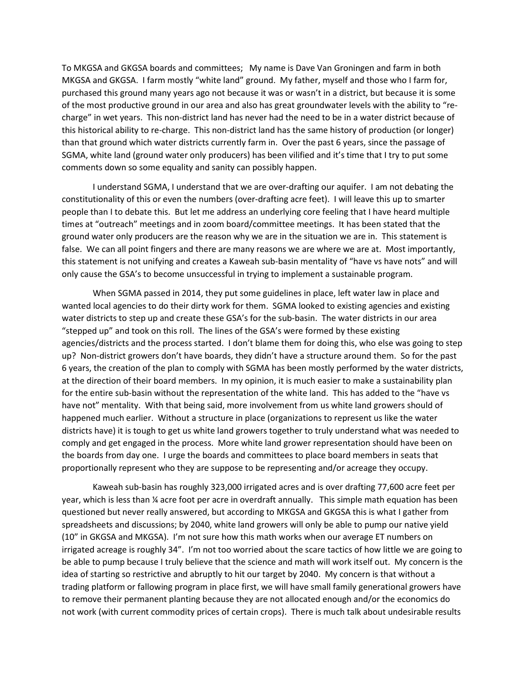To MKGSA and GKGSA boards and committees; My name is Dave Van Groningen and farm in both MKGSA and GKGSA. I farm mostly "white land" ground. My father, myself and those who I farm for, purchased this ground many years ago not because it was or wasn't in a district, but because it is some of the most productive ground in our area and also has great groundwater levels with the ability to "recharge" in wet years. This non-district land has never had the need to be in a water district because of this historical ability to re-charge. This non-district land has the same history of production (or longer) than that ground which water districts currently farm in. Over the past 6 years, since the passage of SGMA, white land (ground water only producers) has been vilified and it's time that I try to put some comments down so some equality and sanity can possibly happen.

 I understand SGMA, I understand that we are over-drafting our aquifer. I am not debating the constitutionality of this or even the numbers (over-drafting acre feet). I will leave this up to smarter people than I to debate this. But let me address an underlying core feeling that I have heard multiple times at "outreach" meetings and in zoom board/committee meetings. It has been stated that the ground water only producers are the reason why we are in the situation we are in. This statement is false. We can all point fingers and there are many reasons we are where we are at. Most importantly, this statement is not unifying and creates a Kaweah sub-basin mentality of "have vs have nots" and will only cause the GSA's to become unsuccessful in trying to implement a sustainable program.

 When SGMA passed in 2014, they put some guidelines in place, left water law in place and wanted local agencies to do their dirty work for them. SGMA looked to existing agencies and existing water districts to step up and create these GSA's for the sub-basin. The water districts in our area "stepped up" and took on this roll. The lines of the GSA's were formed by these existing agencies/districts and the process started. I don't blame them for doing this, who else was going to step up? Non-district growers don't have boards, they didn't have a structure around them. So for the past 6 years, the creation of the plan to comply with SGMA has been mostly performed by the water districts, at the direction of their board members. In my opinion, it is much easier to make a sustainability plan for the entire sub-basin without the representation of the white land. This has added to the "have vs have not" mentality. With that being said, more involvement from us white land growers should of happened much earlier. Without a structure in place (organizations to represent us like the water districts have) it is tough to get us white land growers together to truly understand what was needed to comply and get engaged in the process. More white land grower representation should have been on the boards from day one. I urge the boards and committees to place board members in seats that proportionally represent who they are suppose to be representing and/or acreage they occupy.

 Kaweah sub-basin has roughly 323,000 irrigated acres and is over drafting 77,600 acre feet per year, which is less than ¼ acre foot per acre in overdraft annually. This simple math equation has been questioned but never really answered, but according to MKGSA and GKGSA this is what I gather from spreadsheets and discussions; by 2040, white land growers will only be able to pump our native yield (10" in GKGSA and MKGSA). I'm not sure how this math works when our average ET numbers on irrigated acreage is roughly 34". I'm not too worried about the scare tactics of how little we are going to be able to pump because I truly believe that the science and math will work itself out. My concern is the idea of starting so restrictive and abruptly to hit our target by 2040. My concern is that without a trading platform or fallowing program in place first, we will have small family generational growers have to remove their permanent planting because they are not allocated enough and/or the economics do not work (with current commodity prices of certain crops). There is much talk about undesirable results